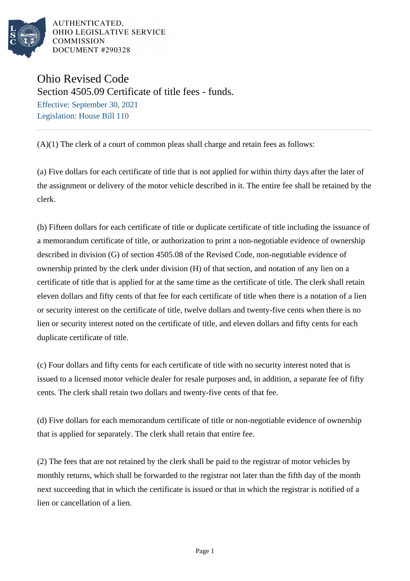

Ohio Revised Code Section 4505.09 Certificate of title fees - funds. Effective: September 30, 2021 Legislation: House Bill 110

(A)(1) The clerk of a court of common pleas shall charge and retain fees as follows:

(a) Five dollars for each certificate of title that is not applied for within thirty days after the later of the assignment or delivery of the motor vehicle described in it. The entire fee shall be retained by the clerk.

(b) Fifteen dollars for each certificate of title or duplicate certificate of title including the issuance of a memorandum certificate of title, or authorization to print a non-negotiable evidence of ownership described in division (G) of section 4505.08 of the Revised Code, non-negotiable evidence of ownership printed by the clerk under division (H) of that section, and notation of any lien on a certificate of title that is applied for at the same time as the certificate of title. The clerk shall retain eleven dollars and fifty cents of that fee for each certificate of title when there is a notation of a lien or security interest on the certificate of title, twelve dollars and twenty-five cents when there is no lien or security interest noted on the certificate of title, and eleven dollars and fifty cents for each duplicate certificate of title.

(c) Four dollars and fifty cents for each certificate of title with no security interest noted that is issued to a licensed motor vehicle dealer for resale purposes and, in addition, a separate fee of fifty cents. The clerk shall retain two dollars and twenty-five cents of that fee.

(d) Five dollars for each memorandum certificate of title or non-negotiable evidence of ownership that is applied for separately. The clerk shall retain that entire fee.

(2) The fees that are not retained by the clerk shall be paid to the registrar of motor vehicles by monthly returns, which shall be forwarded to the registrar not later than the fifth day of the month next succeeding that in which the certificate is issued or that in which the registrar is notified of a lien or cancellation of a lien.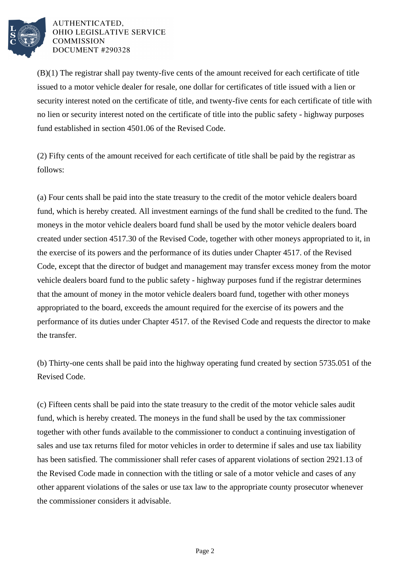

(B)(1) The registrar shall pay twenty-five cents of the amount received for each certificate of title issued to a motor vehicle dealer for resale, one dollar for certificates of title issued with a lien or security interest noted on the certificate of title, and twenty-five cents for each certificate of title with no lien or security interest noted on the certificate of title into the public safety - highway purposes fund established in section 4501.06 of the Revised Code.

(2) Fifty cents of the amount received for each certificate of title shall be paid by the registrar as follows:

(a) Four cents shall be paid into the state treasury to the credit of the motor vehicle dealers board fund, which is hereby created. All investment earnings of the fund shall be credited to the fund. The moneys in the motor vehicle dealers board fund shall be used by the motor vehicle dealers board created under section 4517.30 of the Revised Code, together with other moneys appropriated to it, in the exercise of its powers and the performance of its duties under Chapter 4517. of the Revised Code, except that the director of budget and management may transfer excess money from the motor vehicle dealers board fund to the public safety - highway purposes fund if the registrar determines that the amount of money in the motor vehicle dealers board fund, together with other moneys appropriated to the board, exceeds the amount required for the exercise of its powers and the performance of its duties under Chapter 4517. of the Revised Code and requests the director to make the transfer.

(b) Thirty-one cents shall be paid into the highway operating fund created by section 5735.051 of the Revised Code.

(c) Fifteen cents shall be paid into the state treasury to the credit of the motor vehicle sales audit fund, which is hereby created. The moneys in the fund shall be used by the tax commissioner together with other funds available to the commissioner to conduct a continuing investigation of sales and use tax returns filed for motor vehicles in order to determine if sales and use tax liability has been satisfied. The commissioner shall refer cases of apparent violations of section 2921.13 of the Revised Code made in connection with the titling or sale of a motor vehicle and cases of any other apparent violations of the sales or use tax law to the appropriate county prosecutor whenever the commissioner considers it advisable.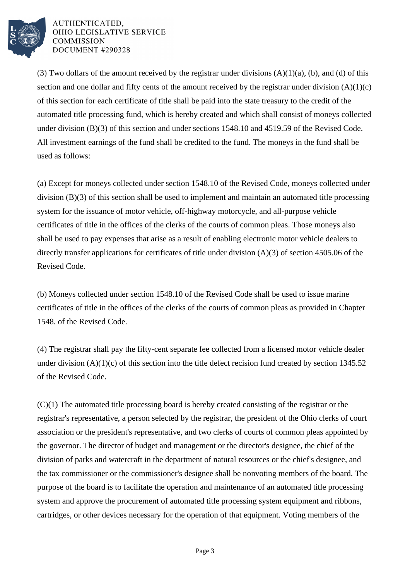

(3) Two dollars of the amount received by the registrar under divisions  $(A)(1)(a)$ , (b), and (d) of this section and one dollar and fifty cents of the amount received by the registrar under division  $(A)(1)(c)$ of this section for each certificate of title shall be paid into the state treasury to the credit of the automated title processing fund, which is hereby created and which shall consist of moneys collected under division (B)(3) of this section and under sections 1548.10 and 4519.59 of the Revised Code. All investment earnings of the fund shall be credited to the fund. The moneys in the fund shall be used as follows:

(a) Except for moneys collected under section 1548.10 of the Revised Code, moneys collected under division (B)(3) of this section shall be used to implement and maintain an automated title processing system for the issuance of motor vehicle, off-highway motorcycle, and all-purpose vehicle certificates of title in the offices of the clerks of the courts of common pleas. Those moneys also shall be used to pay expenses that arise as a result of enabling electronic motor vehicle dealers to directly transfer applications for certificates of title under division (A)(3) of section 4505.06 of the Revised Code.

(b) Moneys collected under section 1548.10 of the Revised Code shall be used to issue marine certificates of title in the offices of the clerks of the courts of common pleas as provided in Chapter 1548. of the Revised Code.

(4) The registrar shall pay the fifty-cent separate fee collected from a licensed motor vehicle dealer under division  $(A)(1)(c)$  of this section into the title defect recision fund created by section 1345.52 of the Revised Code.

(C)(1) The automated title processing board is hereby created consisting of the registrar or the registrar's representative, a person selected by the registrar, the president of the Ohio clerks of court association or the president's representative, and two clerks of courts of common pleas appointed by the governor. The director of budget and management or the director's designee, the chief of the division of parks and watercraft in the department of natural resources or the chief's designee, and the tax commissioner or the commissioner's designee shall be nonvoting members of the board. The purpose of the board is to facilitate the operation and maintenance of an automated title processing system and approve the procurement of automated title processing system equipment and ribbons, cartridges, or other devices necessary for the operation of that equipment. Voting members of the